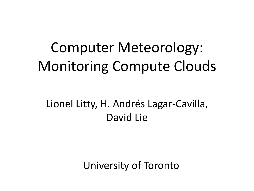## Computer Meteorology: Monitoring Compute Clouds

#### Lionel Litty, H. Andrés Lagar-Cavilla, David Lie

University of Toronto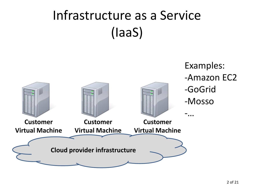## Infrastructure as a Service (IaaS)

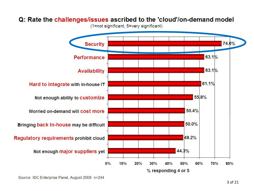#### Q: Rate the challenges/issues ascribed to the 'cloud'/on-demand model

(1=not significant, 5=very significant)



Source: IDC Enterprise Panel, August 2008 n=244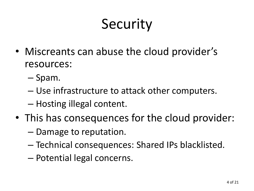# Security

- Miscreants can abuse the cloud provider's resources:
	- Spam.
	- Use infrastructure to attack other computers.
	- Hosting illegal content.
- This has consequences for the cloud provider:
	- Damage to reputation.
	- Technical consequences: Shared IPs blacklisted.
	- Potential legal concerns.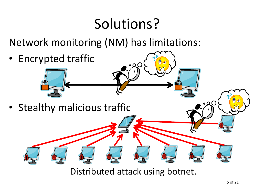## Solutions?

Network monitoring (NM) has limitations:

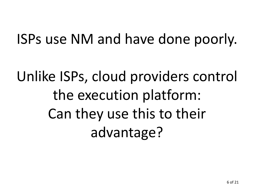## ISPs use NM and have done poorly.

Unlike ISPs, cloud providers control the execution platform: Can they use this to their advantage?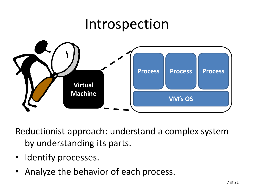### Introspection



Reductionist approach: understand a complex system by understanding its parts.

- Identify processes.
- Analyze the behavior of each process.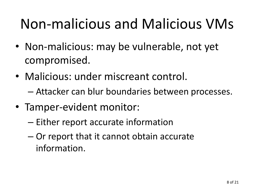## Non-malicious and Malicious VMs

- Non-malicious: may be vulnerable, not yet compromised.
- Malicious: under miscreant control.
	- Attacker can blur boundaries between processes.
- Tamper-evident monitor:
	- Either report accurate information
	- Or report that it cannot obtain accurate information.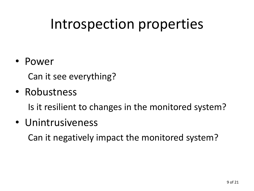## Introspection properties

#### • Power

Can it see everything?

#### • Robustness

Is it resilient to changes in the monitored system?

#### • Unintrusiveness

Can it negatively impact the monitored system?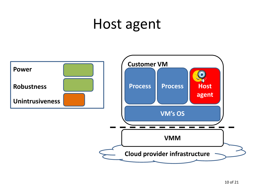### Host agent

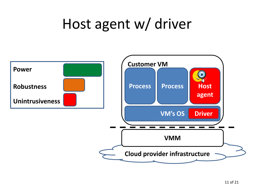## Host agent w/ driver

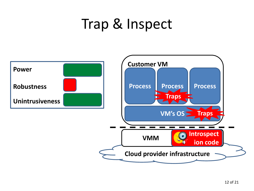## Trap & Inspect

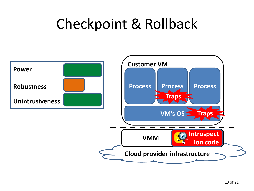## Checkpoint & Rollback

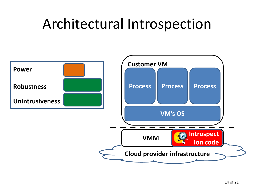## Architectural Introspection

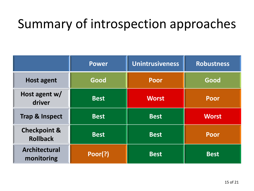### Summary of introspection approaches

|                                            | <b>Power</b> | <b>Unintrusiveness</b> | <b>Robustness</b> |
|--------------------------------------------|--------------|------------------------|-------------------|
| <b>Host agent</b>                          | Good         | Poor                   | Good              |
| Host agent w/<br>driver                    | <b>Best</b>  | <b>Worst</b>           | <b>Poor</b>       |
| <b>Trap &amp; Inspect</b>                  | <b>Best</b>  | <b>Best</b>            | <b>Worst</b>      |
| <b>Checkpoint &amp;</b><br><b>Rollback</b> | <b>Best</b>  | <b>Best</b>            | Poor              |
| <b>Architectural</b><br>monitoring         | Poor(?)      | <b>Best</b>            | <b>Best</b>       |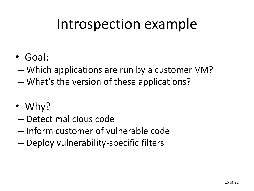## Introspection example

- Goal:
- Which applications are run by a customer VM?
- What's the version of these applications?
- Why?
- Detect malicious code
- Inform customer of vulnerable code
- Deploy vulnerability-specific filters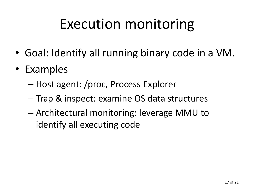## Execution monitoring

- Goal: Identify all running binary code in a VM.
- Examples
	- Host agent: /proc, Process Explorer
	- Trap & inspect: examine OS data structures
	- Architectural monitoring: leverage MMU to identify all executing code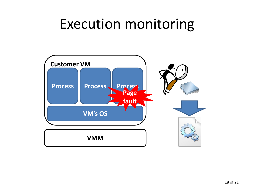## Execution monitoring

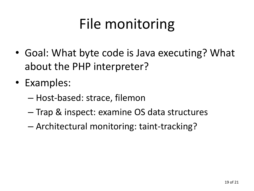# File monitoring

- Goal: What byte code is Java executing? What about the PHP interpreter?
- Examples:
	- Host-based: strace, filemon
	- Trap & inspect: examine OS data structures
	- Architectural monitoring: taint-tracking?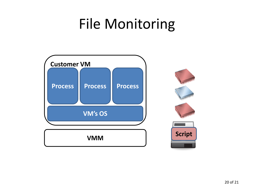## File Monitoring